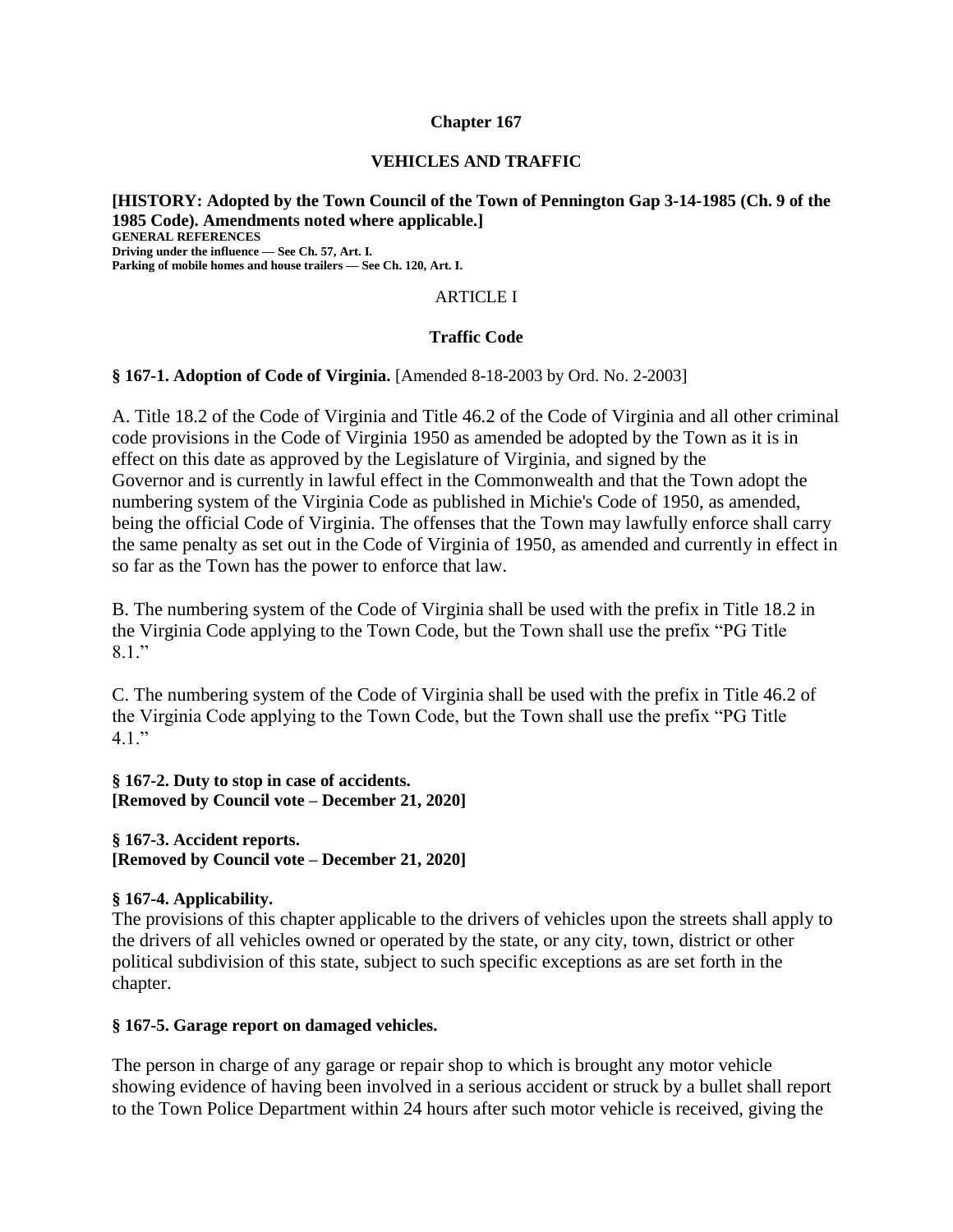#### **Chapter 167**

#### **VEHICLES AND TRAFFIC**

**[HISTORY: Adopted by the Town Council of the Town of Pennington Gap 3-14-1985 (Ch. 9 of the 1985 Code). Amendments noted where applicable.] GENERAL REFERENCES Driving under the influence — See Ch. 57, Art. I. Parking of mobile homes and house trailers — See Ch. 120, Art. I.**

#### ARTICLE I

#### **Traffic Code**

#### **§ 167-1. Adoption of Code of Virginia.** [Amended 8-18-2003 by Ord. No. 2-2003]

A. Title 18.2 of the Code of Virginia and Title 46.2 of the Code of Virginia and all other criminal code provisions in the Code of Virginia 1950 as amended be adopted by the Town as it is in effect on this date as approved by the Legislature of Virginia, and signed by the Governor and is currently in lawful effect in the Commonwealth and that the Town adopt the numbering system of the Virginia Code as published in Michie's Code of 1950, as amended, being the official Code of Virginia. The offenses that the Town may lawfully enforce shall carry the same penalty as set out in the Code of Virginia of 1950, as amended and currently in effect in so far as the Town has the power to enforce that law.

B. The numbering system of the Code of Virginia shall be used with the prefix in Title 18.2 in the Virginia Code applying to the Town Code, but the Town shall use the prefix "PG Title 8.1."

C. The numbering system of the Code of Virginia shall be used with the prefix in Title 46.2 of the Virginia Code applying to the Town Code, but the Town shall use the prefix "PG Title  $4.1.$ "

**§ 167-2. Duty to stop in case of accidents. [Removed by Council vote – December 21, 2020]**

**§ 167-3. Accident reports. [Removed by Council vote – December 21, 2020]**

#### **§ 167-4. Applicability.**

The provisions of this chapter applicable to the drivers of vehicles upon the streets shall apply to the drivers of all vehicles owned or operated by the state, or any city, town, district or other political subdivision of this state, subject to such specific exceptions as are set forth in the chapter.

#### **§ 167-5. Garage report on damaged vehicles.**

The person in charge of any garage or repair shop to which is brought any motor vehicle showing evidence of having been involved in a serious accident or struck by a bullet shall report to the Town Police Department within 24 hours after such motor vehicle is received, giving the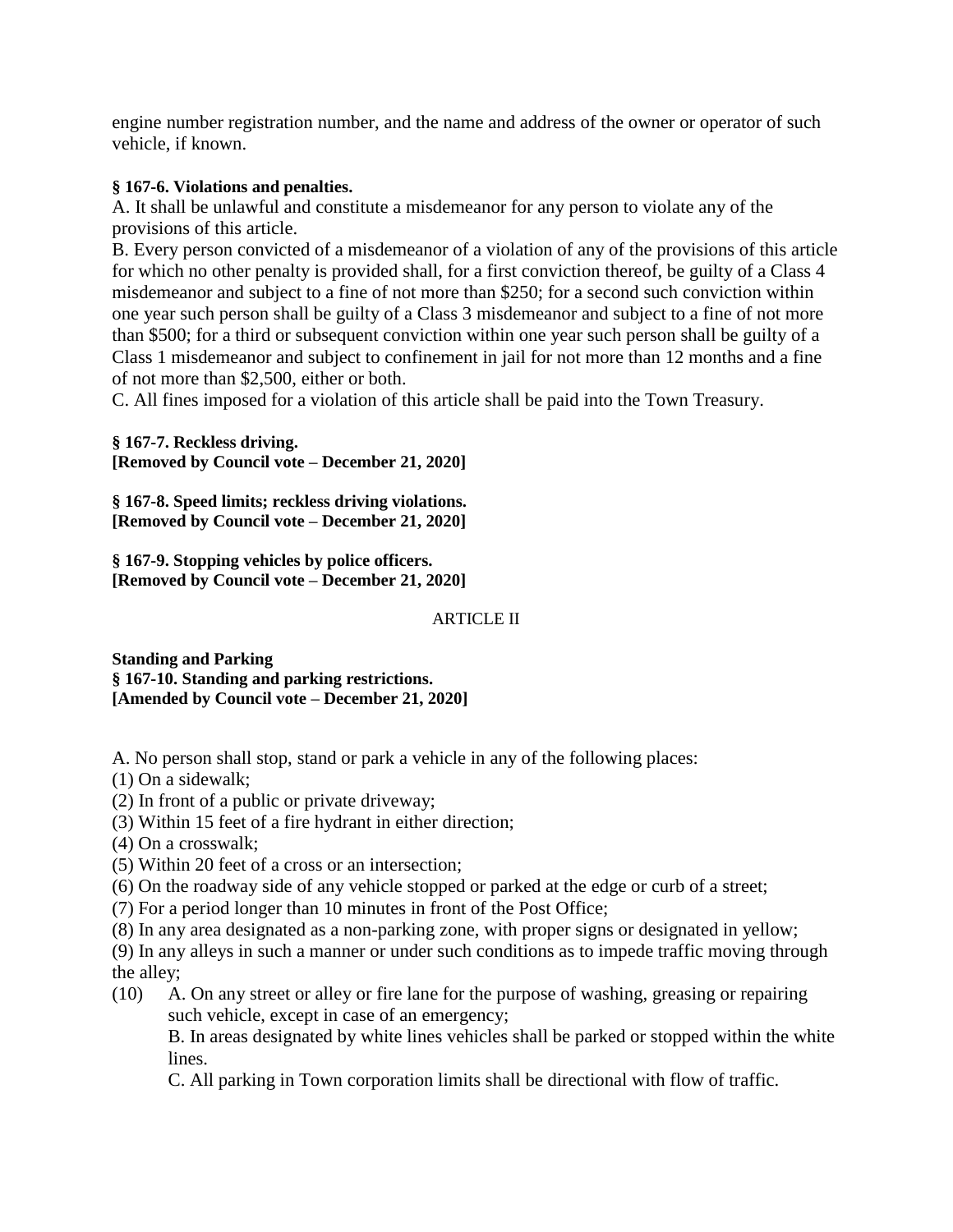engine number registration number, and the name and address of the owner or operator of such vehicle, if known.

## **§ 167-6. Violations and penalties.**

A. It shall be unlawful and constitute a misdemeanor for any person to violate any of the provisions of this article.

B. Every person convicted of a misdemeanor of a violation of any of the provisions of this article for which no other penalty is provided shall, for a first conviction thereof, be guilty of a Class 4 misdemeanor and subject to a fine of not more than \$250; for a second such conviction within one year such person shall be guilty of a Class 3 misdemeanor and subject to a fine of not more than \$500; for a third or subsequent conviction within one year such person shall be guilty of a Class 1 misdemeanor and subject to confinement in jail for not more than 12 months and a fine of not more than \$2,500, either or both.

C. All fines imposed for a violation of this article shall be paid into the Town Treasury.

**§ 167-7. Reckless driving. [Removed by Council vote – December 21, 2020]**

**§ 167-8. Speed limits; reckless driving violations. [Removed by Council vote – December 21, 2020]**

**§ 167-9. Stopping vehicles by police officers. [Removed by Council vote – December 21, 2020]**

## ARTICLE II

**Standing and Parking § 167-10. Standing and parking restrictions. [Amended by Council vote – December 21, 2020]**

A. No person shall stop, stand or park a vehicle in any of the following places:

- (1) On a sidewalk;
- (2) In front of a public or private driveway;
- (3) Within 15 feet of a fire hydrant in either direction;

(4) On a crosswalk;

- (5) Within 20 feet of a cross or an intersection;
- (6) On the roadway side of any vehicle stopped or parked at the edge or curb of a street;
- (7) For a period longer than 10 minutes in front of the Post Office;
- (8) In any area designated as a non-parking zone, with proper signs or designated in yellow;

(9) In any alleys in such a manner or under such conditions as to impede traffic moving through the alley;

(10) A. On any street or alley or fire lane for the purpose of washing, greasing or repairing such vehicle, except in case of an emergency;

B. In areas designated by white lines vehicles shall be parked or stopped within the white lines.

C. All parking in Town corporation limits shall be directional with flow of traffic.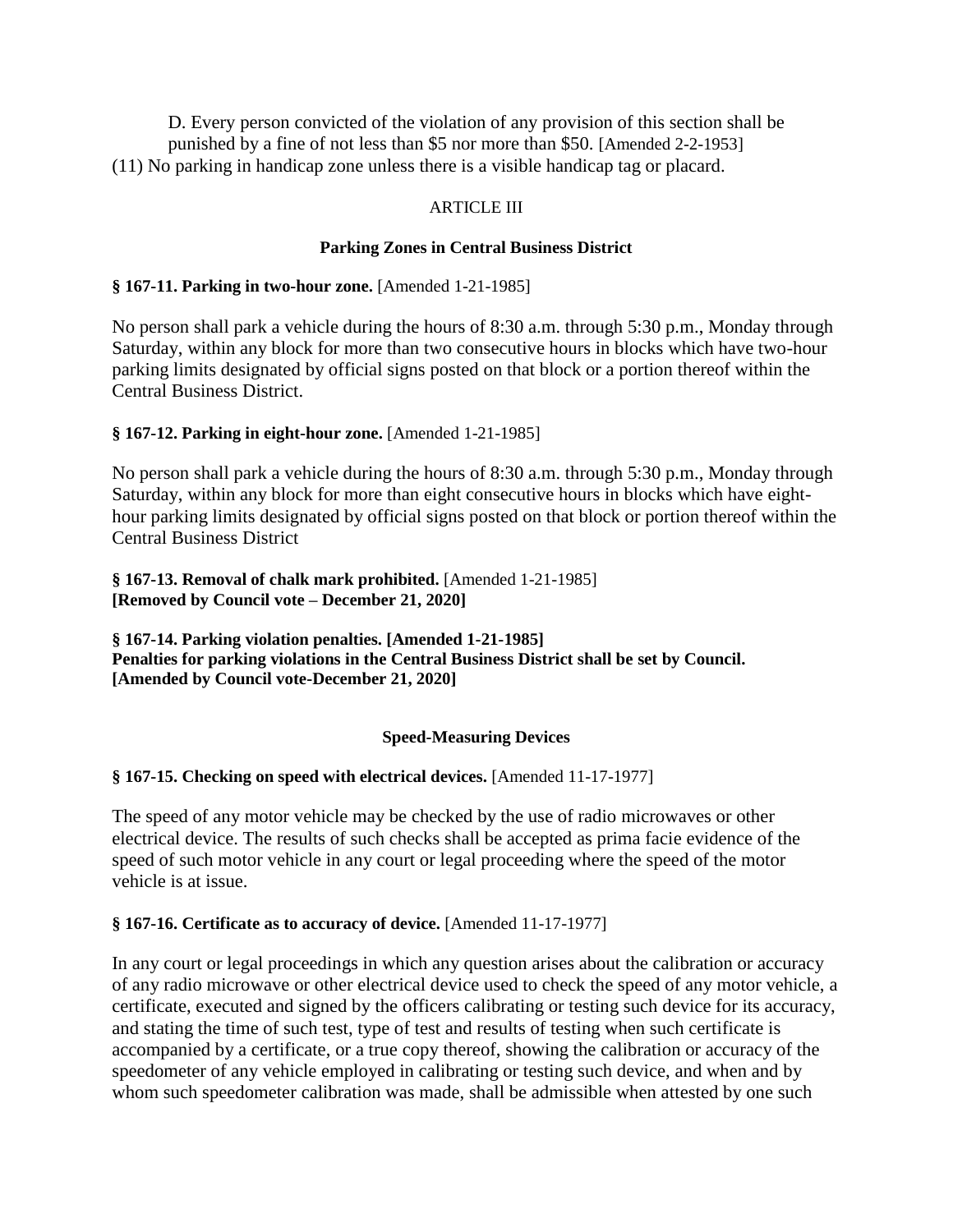D. Every person convicted of the violation of any provision of this section shall be punished by a fine of not less than \$5 nor more than \$50. [Amended 2-2-1953] (11) No parking in handicap zone unless there is a visible handicap tag or placard.

## ARTICLE III

## **Parking Zones in Central Business District**

## **§ 167-11. Parking in two-hour zone.** [Amended 1-21-1985]

No person shall park a vehicle during the hours of 8:30 a.m. through 5:30 p.m., Monday through Saturday, within any block for more than two consecutive hours in blocks which have two-hour parking limits designated by official signs posted on that block or a portion thereof within the Central Business District.

## **§ 167-12. Parking in eight-hour zone.** [Amended 1-21-1985]

No person shall park a vehicle during the hours of 8:30 a.m. through 5:30 p.m., Monday through Saturday, within any block for more than eight consecutive hours in blocks which have eighthour parking limits designated by official signs posted on that block or portion thereof within the Central Business District

**§ 167-13. Removal of chalk mark prohibited.** [Amended 1-21-1985] **[Removed by Council vote – December 21, 2020]**

**§ 167-14. Parking violation penalties. [Amended 1-21-1985] Penalties for parking violations in the Central Business District shall be set by Council. [Amended by Council vote-December 21, 2020]**

## **Speed-Measuring Devices**

# **§ 167-15. Checking on speed with electrical devices.** [Amended 11-17-1977]

The speed of any motor vehicle may be checked by the use of radio microwaves or other electrical device. The results of such checks shall be accepted as prima facie evidence of the speed of such motor vehicle in any court or legal proceeding where the speed of the motor vehicle is at issue.

## **§ 167-16. Certificate as to accuracy of device.** [Amended 11-17-1977]

In any court or legal proceedings in which any question arises about the calibration or accuracy of any radio microwave or other electrical device used to check the speed of any motor vehicle, a certificate, executed and signed by the officers calibrating or testing such device for its accuracy, and stating the time of such test, type of test and results of testing when such certificate is accompanied by a certificate, or a true copy thereof, showing the calibration or accuracy of the speedometer of any vehicle employed in calibrating or testing such device, and when and by whom such speedometer calibration was made, shall be admissible when attested by one such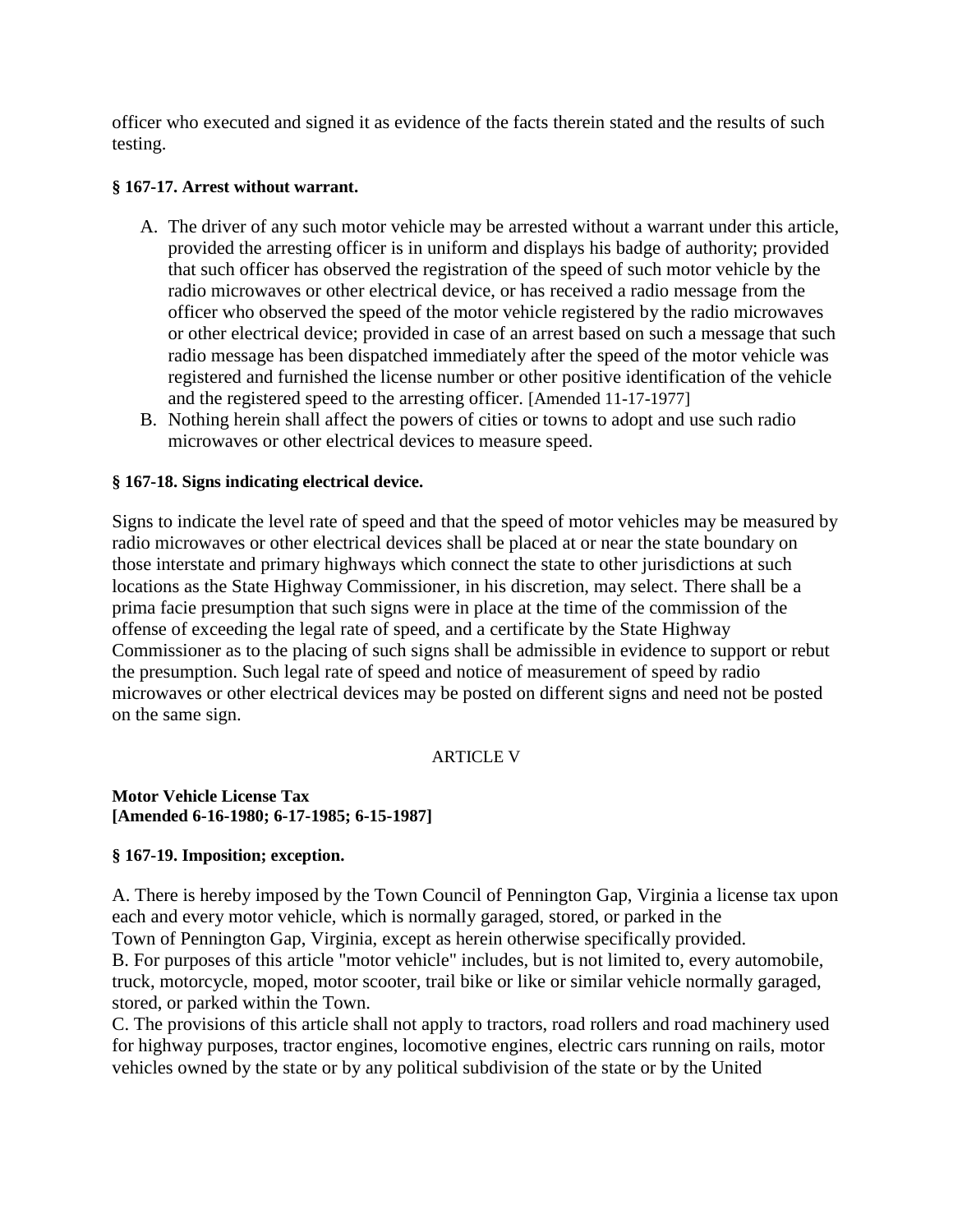officer who executed and signed it as evidence of the facts therein stated and the results of such testing.

#### **§ 167-17. Arrest without warrant.**

- A. The driver of any such motor vehicle may be arrested without a warrant under this article, provided the arresting officer is in uniform and displays his badge of authority; provided that such officer has observed the registration of the speed of such motor vehicle by the radio microwaves or other electrical device, or has received a radio message from the officer who observed the speed of the motor vehicle registered by the radio microwaves or other electrical device; provided in case of an arrest based on such a message that such radio message has been dispatched immediately after the speed of the motor vehicle was registered and furnished the license number or other positive identification of the vehicle and the registered speed to the arresting officer. [Amended 11-17-1977]
- B. Nothing herein shall affect the powers of cities or towns to adopt and use such radio microwaves or other electrical devices to measure speed.

## **§ 167-18. Signs indicating electrical device.**

Signs to indicate the level rate of speed and that the speed of motor vehicles may be measured by radio microwaves or other electrical devices shall be placed at or near the state boundary on those interstate and primary highways which connect the state to other jurisdictions at such locations as the State Highway Commissioner, in his discretion, may select. There shall be a prima facie presumption that such signs were in place at the time of the commission of the offense of exceeding the legal rate of speed, and a certificate by the State Highway Commissioner as to the placing of such signs shall be admissible in evidence to support or rebut the presumption. Such legal rate of speed and notice of measurement of speed by radio microwaves or other electrical devices may be posted on different signs and need not be posted on the same sign.

## ARTICLE V

#### **Motor Vehicle License Tax [Amended 6-16-1980; 6-17-1985; 6-15-1987]**

## **§ 167-19. Imposition; exception.**

A. There is hereby imposed by the Town Council of Pennington Gap, Virginia a license tax upon each and every motor vehicle, which is normally garaged, stored, or parked in the

Town of Pennington Gap, Virginia, except as herein otherwise specifically provided.

B. For purposes of this article "motor vehicle" includes, but is not limited to, every automobile, truck, motorcycle, moped, motor scooter, trail bike or like or similar vehicle normally garaged, stored, or parked within the Town.

C. The provisions of this article shall not apply to tractors, road rollers and road machinery used for highway purposes, tractor engines, locomotive engines, electric cars running on rails, motor vehicles owned by the state or by any political subdivision of the state or by the United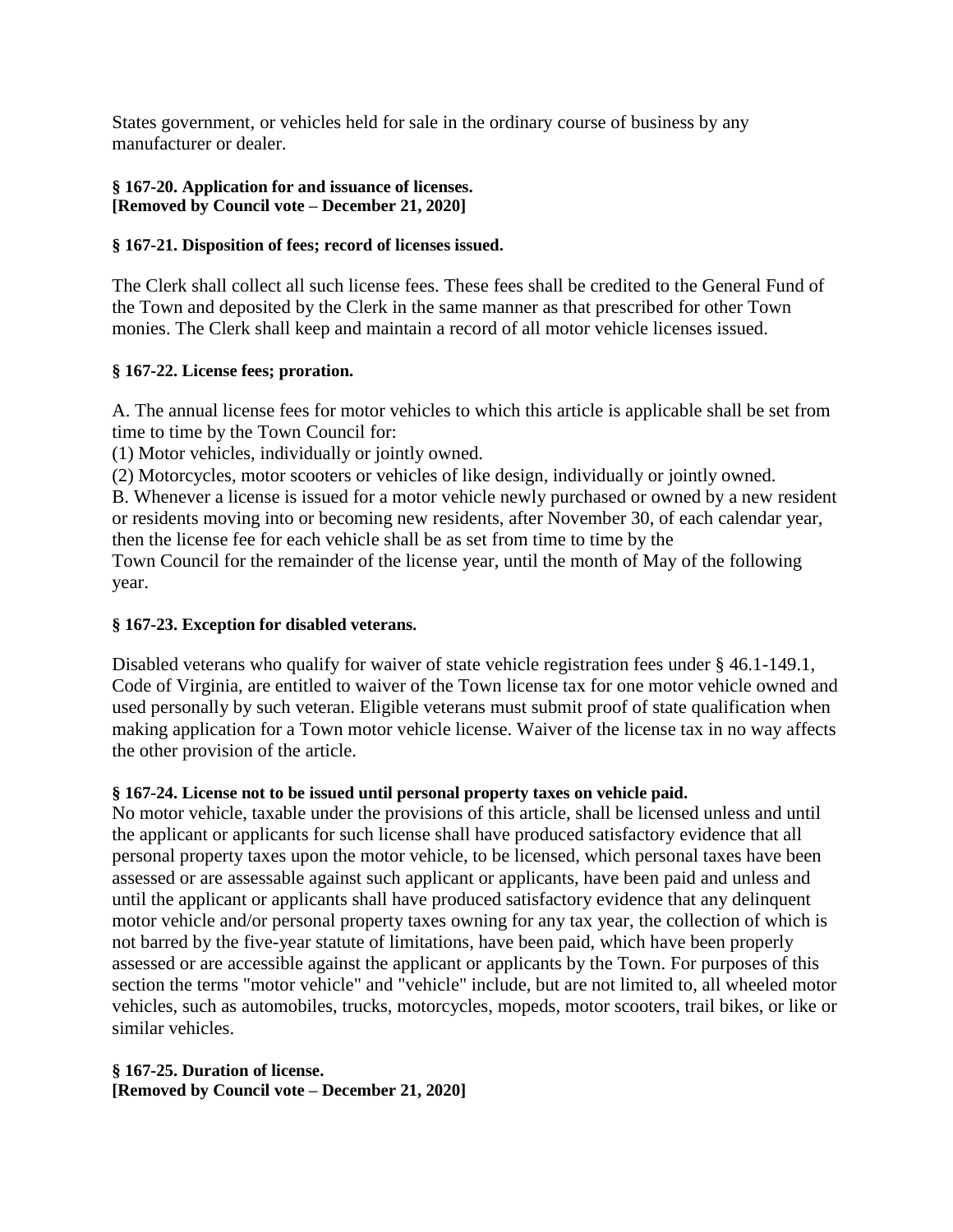States government, or vehicles held for sale in the ordinary course of business by any manufacturer or dealer.

## **§ 167-20. Application for and issuance of licenses. [Removed by Council vote – December 21, 2020]**

## **§ 167-21. Disposition of fees; record of licenses issued.**

The Clerk shall collect all such license fees. These fees shall be credited to the General Fund of the Town and deposited by the Clerk in the same manner as that prescribed for other Town monies. The Clerk shall keep and maintain a record of all motor vehicle licenses issued.

## **§ 167-22. License fees; proration.**

A. The annual license fees for motor vehicles to which this article is applicable shall be set from time to time by the Town Council for:

(1) Motor vehicles, individually or jointly owned.

(2) Motorcycles, motor scooters or vehicles of like design, individually or jointly owned.

B. Whenever a license is issued for a motor vehicle newly purchased or owned by a new resident or residents moving into or becoming new residents, after November 30, of each calendar year, then the license fee for each vehicle shall be as set from time to time by the

Town Council for the remainder of the license year, until the month of May of the following year.

# **§ 167-23. Exception for disabled veterans.**

Disabled veterans who qualify for waiver of state vehicle registration fees under § 46.1-149.1, Code of Virginia, are entitled to waiver of the Town license tax for one motor vehicle owned and used personally by such veteran. Eligible veterans must submit proof of state qualification when making application for a Town motor vehicle license. Waiver of the license tax in no way affects the other provision of the article.

# **§ 167-24. License not to be issued until personal property taxes on vehicle paid.**

No motor vehicle, taxable under the provisions of this article, shall be licensed unless and until the applicant or applicants for such license shall have produced satisfactory evidence that all personal property taxes upon the motor vehicle, to be licensed, which personal taxes have been assessed or are assessable against such applicant or applicants, have been paid and unless and until the applicant or applicants shall have produced satisfactory evidence that any delinquent motor vehicle and/or personal property taxes owning for any tax year, the collection of which is not barred by the five-year statute of limitations, have been paid, which have been properly assessed or are accessible against the applicant or applicants by the Town. For purposes of this section the terms "motor vehicle" and "vehicle" include, but are not limited to, all wheeled motor vehicles, such as automobiles, trucks, motorcycles, mopeds, motor scooters, trail bikes, or like or similar vehicles.

## **§ 167-25. Duration of license. [Removed by Council vote – December 21, 2020]**